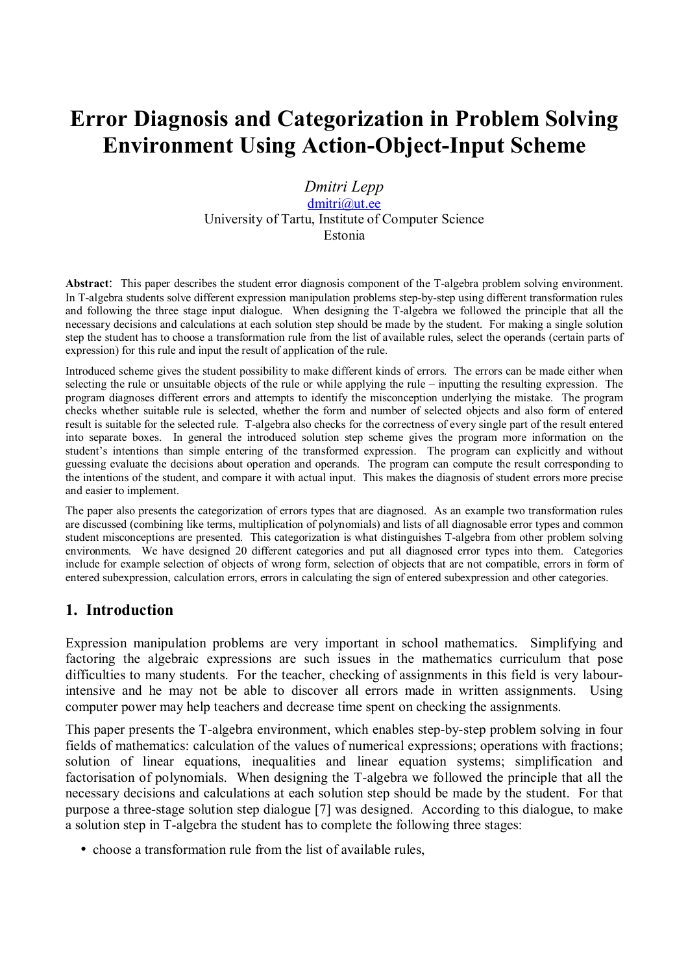# **Error Diagnosis and Categorization in Problem Solving Environment Using Action-Object-Input Scheme**

#### *Dmitri Lepp*  dmitri@ut.ee University of Tartu, Institute of Computer Science Estonia

**Abstract**: This paper describes the student error diagnosis component of the T-algebra problem solving environment. In T-algebra students solve different expression manipulation problems step-by-step using different transformation rules and following the three stage input dialogue. When designing the T-algebra we followed the principle that all the necessary decisions and calculations at each solution step should be made by the student. For making a single solution step the student has to choose a transformation rule from the list of available rules, select the operands (certain parts of expression) for this rule and input the result of application of the rule.

Introduced scheme gives the student possibility to make different kinds of errors. The errors can be made either when selecting the rule or unsuitable objects of the rule or while applying the rule – inputting the resulting expression. The program diagnoses different errors and attempts to identify the misconception underlying the mistake. The program checks whether suitable rule is selected, whether the form and number of selected objects and also form of entered result is suitable for the selected rule. T-algebra also checks for the correctness of every single part of the result entered into separate boxes. In general the introduced solution step scheme gives the program more information on the student's intentions than simple entering of the transformed expression. The program can explicitly and without guessing evaluate the decisions about operation and operands. The program can compute the result corresponding to the intentions of the student, and compare it with actual input. This makes the diagnosis of student errors more precise and easier to implement.

The paper also presents the categorization of errors types that are diagnosed. As an example two transformation rules are discussed (combining like terms, multiplication of polynomials) and lists of all diagnosable error types and common student misconceptions are presented. This categorization is what distinguishes T-algebra from other problem solving environments. We have designed 20 different categories and put all diagnosed error types into them. Categories include for example selection of objects of wrong form, selection of objects that are not compatible, errors in form of entered subexpression, calculation errors, errors in calculating the sign of entered subexpression and other categories.

### **1. Introduction**

Expression manipulation problems are very important in school mathematics. Simplifying and factoring the algebraic expressions are such issues in the mathematics curriculum that pose difficulties to many students. For the teacher, checking of assignments in this field is very labourintensive and he may not be able to discover all errors made in written assignments. Using computer power may help teachers and decrease time spent on checking the assignments.

This paper presents the T-algebra environment, which enables step-by-step problem solving in four fields of mathematics: calculation of the values of numerical expressions; operations with fractions; solution of linear equations, inequalities and linear equation systems; simplification and factorisation of polynomials. When designing the T-algebra we followed the principle that all the necessary decisions and calculations at each solution step should be made by the student. For that purpose a three-stage solution step dialogue [7] was designed. According to this dialogue, to make a solution step in T-algebra the student has to complete the following three stages:

• choose a transformation rule from the list of available rules,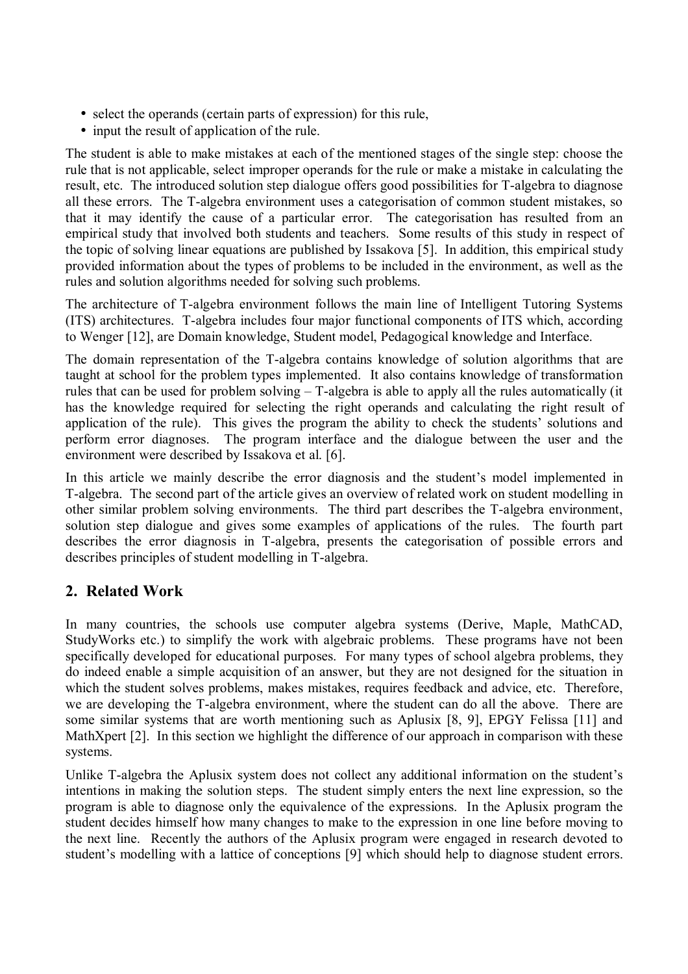- select the operands (certain parts of expression) for this rule,
- input the result of application of the rule.

The student is able to make mistakes at each of the mentioned stages of the single step: choose the rule that is not applicable, select improper operands for the rule or make a mistake in calculating the result, etc. The introduced solution step dialogue offers good possibilities for T-algebra to diagnose all these errors. The T-algebra environment uses a categorisation of common student mistakes, so that it may identify the cause of a particular error. The categorisation has resulted from an empirical study that involved both students and teachers. Some results of this study in respect of the topic of solving linear equations are published by Issakova [5]. In addition, this empirical study provided information about the types of problems to be included in the environment, as well as the rules and solution algorithms needed for solving such problems.

The architecture of T-algebra environment follows the main line of Intelligent Tutoring Systems (ITS) architectures. T-algebra includes four major functional components of ITS which, according to Wenger [12], are Domain knowledge, Student model, Pedagogical knowledge and Interface.

The domain representation of the T-algebra contains knowledge of solution algorithms that are taught at school for the problem types implemented. It also contains knowledge of transformation rules that can be used for problem solving  $-$  T-algebra is able to apply all the rules automatically (it has the knowledge required for selecting the right operands and calculating the right result of application of the rule). This gives the program the ability to check the students' solutions and perform error diagnoses. The program interface and the dialogue between the user and the environment were described by Issakova et al. [6].

In this article we mainly describe the error diagnosis and the student's model implemented in T-algebra. The second part of the article gives an overview of related work on student modelling in other similar problem solving environments. The third part describes the T-algebra environment, solution step dialogue and gives some examples of applications of the rules. The fourth part describes the error diagnosis in T-algebra, presents the categorisation of possible errors and describes principles of student modelling in T-algebra.

## **2. Related Work**

In many countries, the schools use computer algebra systems (Derive, Maple, MathCAD, StudyWorks etc.) to simplify the work with algebraic problems. These programs have not been specifically developed for educational purposes. For many types of school algebra problems, they do indeed enable a simple acquisition of an answer, but they are not designed for the situation in which the student solves problems, makes mistakes, requires feedback and advice, etc. Therefore, we are developing the T-algebra environment, where the student can do all the above. There are some similar systems that are worth mentioning such as Aplusix [8, 9], EPGY Felissa [11] and MathXpert [2]. In this section we highlight the difference of our approach in comparison with these systems.

Unlike T-algebra the Aplusix system does not collect any additional information on the student's intentions in making the solution steps. The student simply enters the next line expression, so the program is able to diagnose only the equivalence of the expressions. In the Aplusix program the student decides himself how many changes to make to the expression in one line before moving to the next line. Recently the authors of the Aplusix program were engaged in research devoted to student's modelling with a lattice of conceptions [9] which should help to diagnose student errors.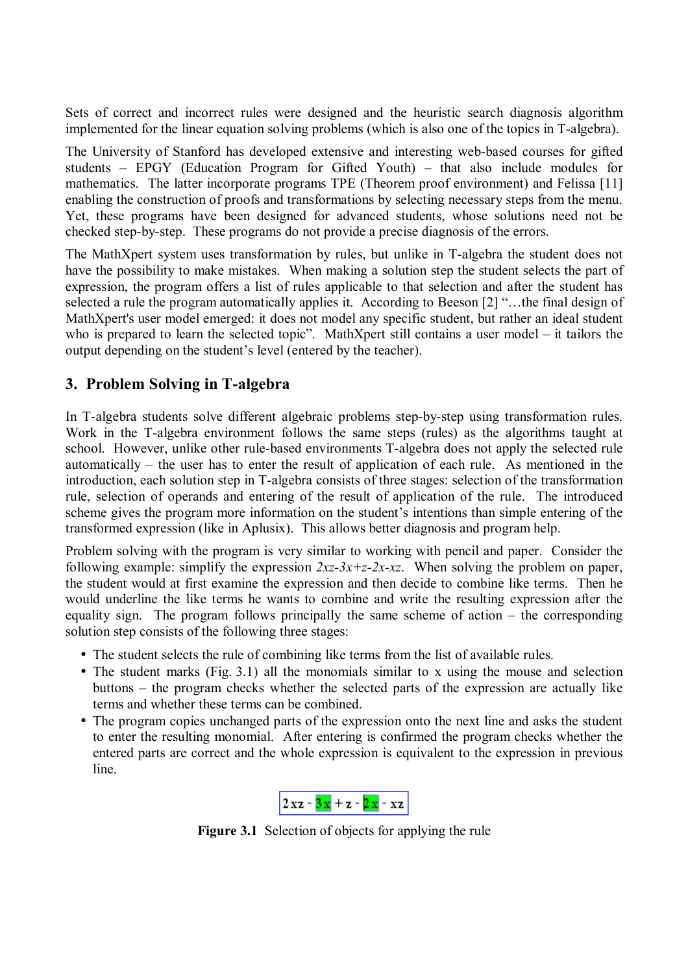Sets of correct and incorrect rules were designed and the heuristic search diagnosis algorithm implemented for the linear equation solving problems (which is also one of the topics in T-algebra).

The University of Stanford has developed extensive and interesting web-based courses for gifted students  $-$  EPGY (Education Program for Gifted Youth)  $-$  that also include modules for mathematics. The latter incorporate programs TPE (Theorem proof environment) and Felissa [11] enabling the construction of proofs and transformations by selecting necessary steps from the menu. Yet, these programs have been designed for advanced students, whose solutions need not be checked step-by-step. These programs do not provide a precise diagnosis of the errors.

The MathXpert system uses transformation by rules, but unlike in T-algebra the student does not have the possibility to make mistakes. When making a solution step the student selects the part of expression, the program offers a list of rules applicable to that selection and after the student has selected a rule the program automatically applies it. According to Beeson  $[2]$  "...the final design of MathXpert's user model emerged: it does not model any specific student, but rather an ideal student who is prepared to learn the selected topic". MathXpert still contains a user model  $-$  it tailors the output depending on the student's level (entered by the teacher).

## **3. Problem Solving in T-algebra**

In T-algebra students solve different algebraic problems step-by-step using transformation rules. Work in the T-algebra environment follows the same steps (rules) as the algorithms taught at school. However, unlike other rule-based environments T-algebra does not apply the selected rule automatically  $-$  the user has to enter the result of application of each rule. As mentioned in the introduction, each solution step in T-algebra consists of three stages: selection of the transformation rule, selection of operands and entering of the result of application of the rule. The introduced scheme gives the program more information on the student's intentions than simple entering of the transformed expression (like in Aplusix). This allows better diagnosis and program help.

Problem solving with the program is very similar to working with pencil and paper. Consider the following example: simplify the expression  $2xz-3x+z-2x-xz$ . When solving the problem on paper, the student would at first examine the expression and then decide to combine like terms. Then he would underline the like terms he wants to combine and write the resulting expression after the equality sign. The program follows principally the same scheme of action  $-$  the corresponding solution step consists of the following three stages:

- The student selects the rule of combining like terms from the list of available rules.
- The student marks (Fig. 3.1) all the monomials similar to x using the mouse and selection buttons  $-$  the program checks whether the selected parts of the expression are actually like terms and whether these terms can be combined.
- The program copies unchanged parts of the expression onto the next line and asks the student to enter the resulting monomial. After entering is confirmed the program checks whether the entered parts are correct and the whole expression is equivalent to the expression in previous line.



**Figure 3.1** Selection of objects for applying the rule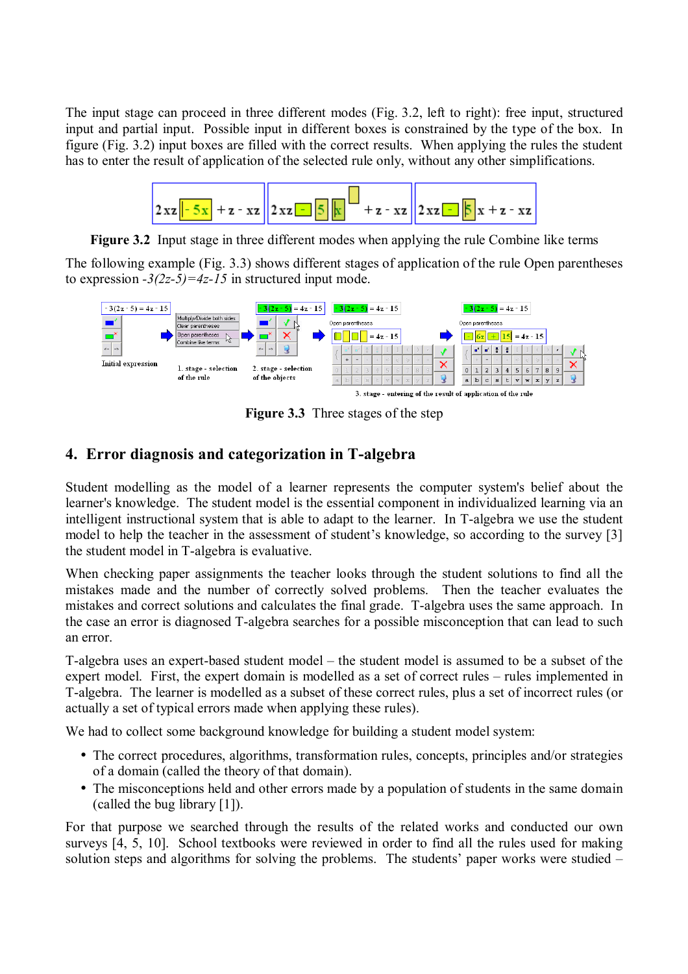The input stage can proceed in three different modes (Fig. 3.2, left to right): free input, structured input and partial input. Possible input in different boxes is constrained by the type of the box. In figure (Fig. 3.2) input boxes are filled with the correct results. When applying the rules the student has to enter the result of application of the selected rule only, without any other simplifications.



**Figure 3.2** Input stage in three different modes when applying the rule Combine like terms

The following example (Fig. 3.3) shows different stages of application of the rule Open parentheses to expression  $-3(2z-5)=4z-15$  in structured input mode.



**Figure 3.3** Three stages of the step

## **4. Error diagnosis and categorization in T-algebra**

Student modelling as the model of a learner represents the computer system's belief about the learner's knowledge. The student model is the essential component in individualized learning via an intelligent instructional system that is able to adapt to the learner. In T-algebra we use the student model to help the teacher in the assessment of student's knowledge, so according to the survey [3] the student model in T-algebra is evaluative.

When checking paper assignments the teacher looks through the student solutions to find all the mistakes made and the number of correctly solved problems. Then the teacher evaluates the mistakes and correct solutions and calculates the final grade. T-algebra uses the same approach. In the case an error is diagnosed T-algebra searches for a possible misconception that can lead to such an error.

T-algebra uses an expert-based student model – the student model is assumed to be a subset of the expert model. First, the expert domain is modelled as a set of correct rules – rules implemented in T-algebra. The learner is modelled as a subset of these correct rules, plus a set of incorrect rules (or actually a set of typical errors made when applying these rules).

We had to collect some background knowledge for building a student model system:

- The correct procedures, algorithms, transformation rules, concepts, principles and/or strategies of a domain (called the theory of that domain).
- The misconceptions held and other errors made by a population of students in the same domain (called the bug library [1]).

For that purpose we searched through the results of the related works and conducted our own surveys [4, 5, 10]. School textbooks were reviewed in order to find all the rules used for making solution steps and algorithms for solving the problems. The students' paper works were studied  $-$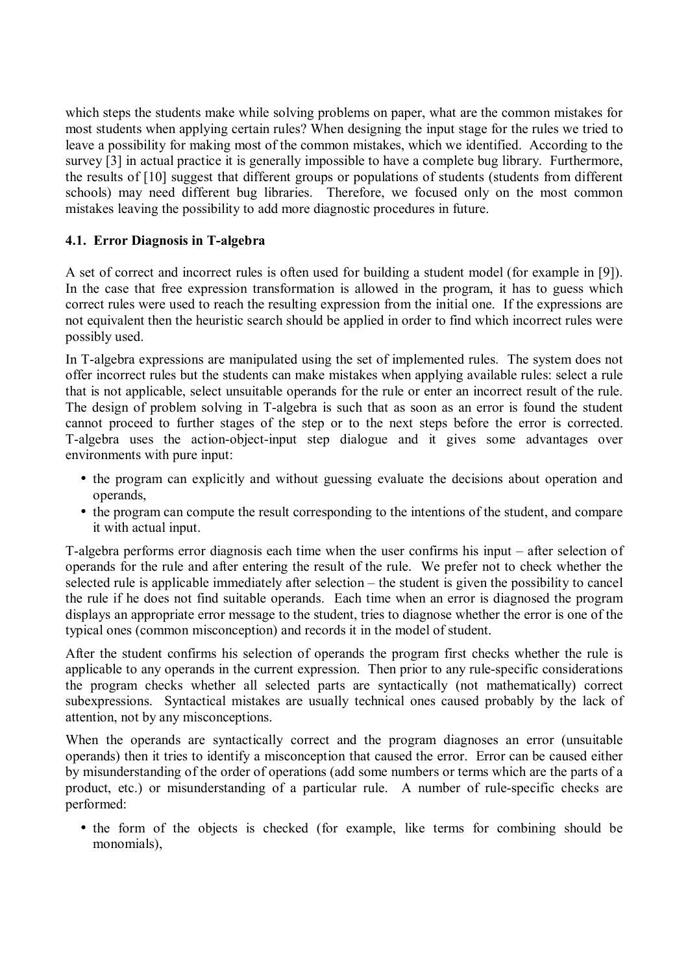which steps the students make while solving problems on paper, what are the common mistakes for most students when applying certain rules? When designing the input stage for the rules we tried to leave a possibility for making most of the common mistakes, which we identified. According to the survey [3] in actual practice it is generally impossible to have a complete bug library. Furthermore, the results of [10] suggest that different groups or populations of students (students from different schools) may need different bug libraries. Therefore, we focused only on the most common mistakes leaving the possibility to add more diagnostic procedures in future.

#### **4.1. Error Diagnosis in T-algebra**

A set of correct and incorrect rules is often used for building a student model (for example in [9]). In the case that free expression transformation is allowed in the program, it has to guess which correct rules were used to reach the resulting expression from the initial one. If the expressions are not equivalent then the heuristic search should be applied in order to find which incorrect rules were possibly used.

In T-algebra expressions are manipulated using the set of implemented rules. The system does not offer incorrect rules but the students can make mistakes when applying available rules: select a rule that is not applicable, select unsuitable operands for the rule or enter an incorrect result of the rule. The design of problem solving in T-algebra is such that as soon as an error is found the student cannot proceed to further stages of the step or to the next steps before the error is corrected. T-algebra uses the action-object-input step dialogue and it gives some advantages over environments with pure input:

- the program can explicitly and without guessing evaluate the decisions about operation and operands,
- the program can compute the result corresponding to the intentions of the student, and compare it with actual input.

T-algebra performs error diagnosis each time when the user confirms his input – after selection of operands for the rule and after entering the result of the rule. We prefer not to check whether the selected rule is applicable immediately after selection  $-$  the student is given the possibility to cancel the rule if he does not find suitable operands. Each time when an error is diagnosed the program displays an appropriate error message to the student, tries to diagnose whether the error is one of the typical ones (common misconception) and records it in the model of student.

After the student confirms his selection of operands the program first checks whether the rule is applicable to any operands in the current expression. Then prior to any rule-specific considerations the program checks whether all selected parts are syntactically (not mathematically) correct subexpressions. Syntactical mistakes are usually technical ones caused probably by the lack of attention, not by any misconceptions.

When the operands are syntactically correct and the program diagnoses an error (unsuitable operands) then it tries to identify a misconception that caused the error. Error can be caused either by misunderstanding of the order of operations (add some numbers or terms which are the parts of a product, etc.) or misunderstanding of a particular rule. A number of rule-specific checks are performed:

• the form of the objects is checked (for example, like terms for combining should be monomials),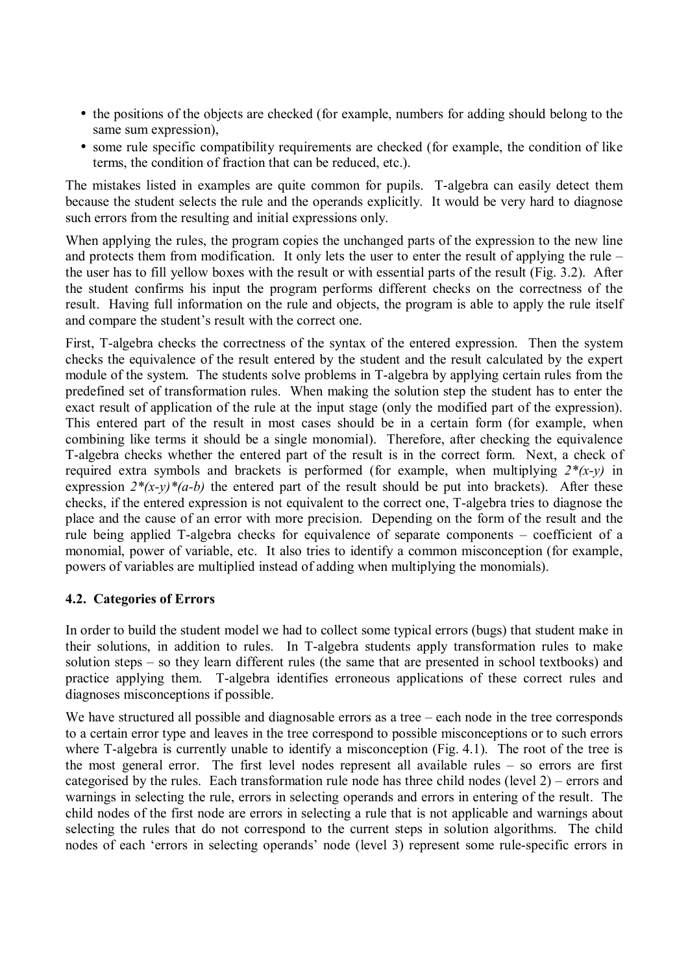- the positions of the objects are checked (for example, numbers for adding should belong to the same sum expression),
- some rule specific compatibility requirements are checked (for example, the condition of like terms, the condition of fraction that can be reduced, etc.).

The mistakes listed in examples are quite common for pupils. T-algebra can easily detect them because the student selects the rule and the operands explicitly. It would be very hard to diagnose such errors from the resulting and initial expressions only.

When applying the rules, the program copies the unchanged parts of the expression to the new line and protects them from modification. It only lets the user to enter the result of applying the rule  $$ the user has to fill yellow boxes with the result or with essential parts of the result (Fig. 3.2). After the student confirms his input the program performs different checks on the correctness of the result. Having full information on the rule and objects, the program is able to apply the rule itself and compare the student's result with the correct one.

First, T-algebra checks the correctness of the syntax of the entered expression. Then the system checks the equivalence of the result entered by the student and the result calculated by the expert module of the system. The students solve problems in T-algebra by applying certain rules from the predefined set of transformation rules. When making the solution step the student has to enter the exact result of application of the rule at the input stage (only the modified part of the expression). This entered part of the result in most cases should be in a certain form (for example, when combining like terms it should be a single monomial). Therefore, after checking the equivalence T-algebra checks whether the entered part of the result is in the correct form. Next, a check of required extra symbols and brackets is performed (for example, when multiplying *2\*(x-y)* in expression  $2^*(x-y)^*(a-b)$  the entered part of the result should be put into brackets). After these checks, if the entered expression is not equivalent to the correct one, T-algebra tries to diagnose the place and the cause of an error with more precision. Depending on the form of the result and the rule being applied T-algebra checks for equivalence of separate components  $-$  coefficient of a monomial, power of variable, etc. It also tries to identify a common misconception (for example, powers of variables are multiplied instead of adding when multiplying the monomials).

#### **4.2. Categories of Errors**

In order to build the student model we had to collect some typical errors (bugs) that student make in their solutions, in addition to rules. In T-algebra students apply transformation rules to make solution steps  $-$  so they learn different rules (the same that are presented in school textbooks) and practice applying them. T-algebra identifies erroneous applications of these correct rules and diagnoses misconceptions if possible.

We have structured all possible and diagnosable errors as a tree  $-\text{ each node}$  in the tree corresponds to a certain error type and leaves in the tree correspond to possible misconceptions or to such errors where T-algebra is currently unable to identify a misconception (Fig. 4.1). The root of the tree is the most general error. The first level nodes represent all available rules  $-$  so errors are first categorised by the rules. Each transformation rule node has three child nodes (level  $2$ ) – errors and warnings in selecting the rule, errors in selecting operands and errors in entering of the result. The child nodes of the first node are errors in selecting a rule that is not applicable and warnings about selecting the rules that do not correspond to the current steps in solution algorithms. The child nodes of each 'errors in selecting operands' node (level 3) represent some rule-specific errors in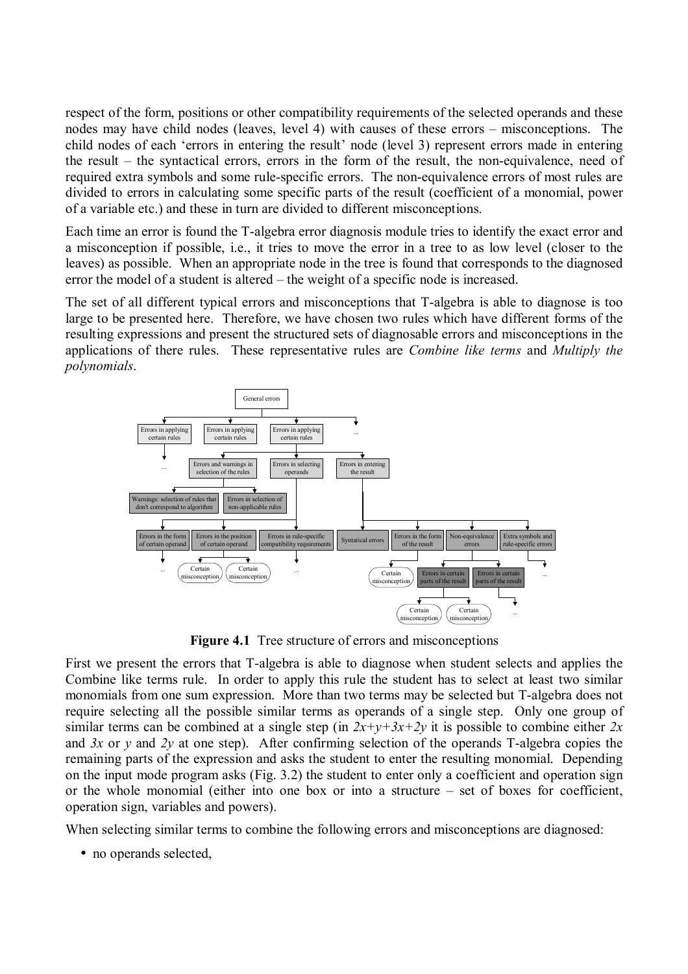respect of the form, positions or other compatibility requirements of the selected operands and these nodes may have child nodes (leaves, level 4) with causes of these errors – misconceptions. The child nodes of each 'errors in entering the result' node (level 3) represent errors made in entering the result  $-$  the syntactical errors, errors in the form of the result, the non-equivalence, need of required extra symbols and some rule-specific errors. The non-equivalence errors of most rules are divided to errors in calculating some specific parts of the result (coefficient of a monomial, power of a variable etc.) and these in turn are divided to different misconceptions.

Each time an error is found the T-algebra error diagnosis module tries to identify the exact error and a misconception if possible, i.e., it tries to move the error in a tree to as low level (closer to the leaves) as possible. When an appropriate node in the tree is found that corresponds to the diagnosed error the model of a student is altered – the weight of a specific node is increased.

The set of all different typical errors and misconceptions that T-algebra is able to diagnose is too large to be presented here. Therefore, we have chosen two rules which have different forms of the resulting expressions and present the structured sets of diagnosable errors and misconceptions in the applications of there rules. These representative rules are *Combine like terms* and *Multiply the polynomials*.



**Figure 4.1** Tree structure of errors and misconceptions

First we present the errors that T-algebra is able to diagnose when student selects and applies the Combine like terms rule. In order to apply this rule the student has to select at least two similar monomials from one sum expression. More than two terms may be selected but T-algebra does not require selecting all the possible similar terms as operands of a single step. Only one group of similar terms can be combined at a single step (in  $2x+y+3x+2y$  it is possible to combine either  $2x$ and  $3x$  or  $y$  and  $2y$  at one step). After confirming selection of the operands T-algebra copies the remaining parts of the expression and asks the student to enter the resulting monomial. Depending on the input mode program asks (Fig. 3.2) the student to enter only a coefficient and operation sign or the whole monomial (either into one box or into a structure  $-$  set of boxes for coefficient, operation sign, variables and powers).

When selecting similar terms to combine the following errors and misconceptions are diagnosed:

• no operands selected,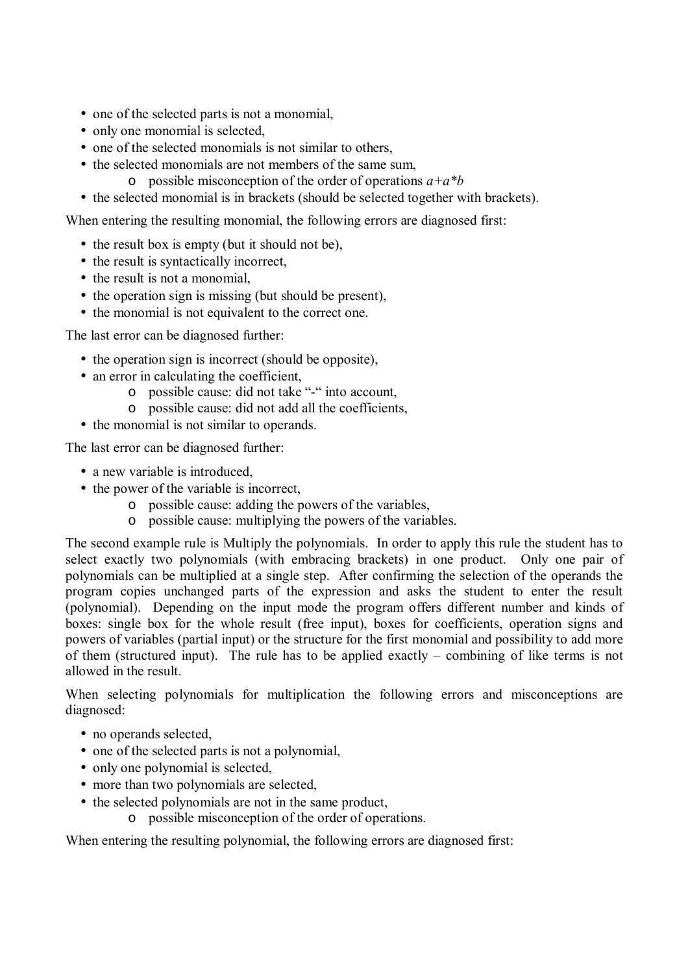- one of the selected parts is not a monomial,
- only one monomial is selected,
- one of the selected monomials is not similar to others,
- the selected monomials are not members of the same sum,
	- o possible misconception of the order of operations *a+a\*b*
- the selected monomial is in brackets (should be selected together with brackets).

When entering the resulting monomial, the following errors are diagnosed first:

- the result box is empty (but it should not be),
- the result is syntactically incorrect,
- the result is not a monomial,
- the operation sign is missing (but should be present),
- the monomial is not equivalent to the correct one.

The last error can be diagnosed further:

- the operation sign is incorrect (should be opposite),
- an error in calculating the coefficient,
	- o possible cause: did not take "-" into account,
	- o possible cause: did not add all the coefficients,
- the monomial is not similar to operands.

The last error can be diagnosed further:

- a new variable is introduced.
- the power of the variable is incorrect.
	- o possible cause: adding the powers of the variables,
	- o possible cause: multiplying the powers of the variables.

The second example rule is Multiply the polynomials. In order to apply this rule the student has to select exactly two polynomials (with embracing brackets) in one product. Only one pair of polynomials can be multiplied at a single step. After confirming the selection of the operands the program copies unchanged parts of the expression and asks the student to enter the result (polynomial). Depending on the input mode the program offers different number and kinds of boxes: single box for the whole result (free input), boxes for coefficients, operation signs and powers of variables (partial input) or the structure for the first monomial and possibility to add more of them (structured input). The rule has to be applied exactly  $-$  combining of like terms is not allowed in the result.

When selecting polynomials for multiplication the following errors and misconceptions are diagnosed:

- no operands selected,
- one of the selected parts is not a polynomial,
- only one polynomial is selected,
- more than two polynomials are selected.
- the selected polynomials are not in the same product,
	- o possible misconception of the order of operations.

When entering the resulting polynomial, the following errors are diagnosed first: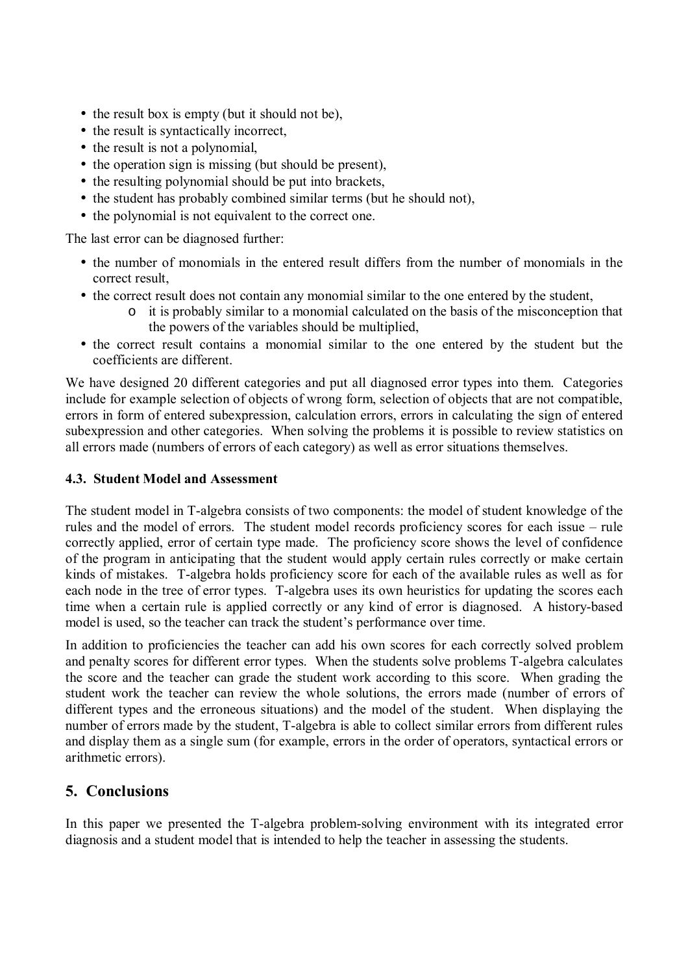- the result box is empty (but it should not be),
- the result is syntactically incorrect,
- the result is not a polynomial,
- the operation sign is missing (but should be present),
- the resulting polynomial should be put into brackets,
- the student has probably combined similar terms (but he should not).
- the polynomial is not equivalent to the correct one.

The last error can be diagnosed further:

- the number of monomials in the entered result differs from the number of monomials in the correct result,
- the correct result does not contain any monomial similar to the one entered by the student,
	- o it is probably similar to a monomial calculated on the basis of the misconception that the powers of the variables should be multiplied,
- the correct result contains a monomial similar to the one entered by the student but the coefficients are different.

We have designed 20 different categories and put all diagnosed error types into them. Categories include for example selection of objects of wrong form, selection of objects that are not compatible, errors in form of entered subexpression, calculation errors, errors in calculating the sign of entered subexpression and other categories. When solving the problems it is possible to review statistics on all errors made (numbers of errors of each category) as well as error situations themselves.

#### **4.3. Student Model and Assessment**

The student model in T-algebra consists of two components: the model of student knowledge of the rules and the model of errors. The student model records proficiency scores for each issue – rule correctly applied, error of certain type made. The proficiency score shows the level of confidence of the program in anticipating that the student would apply certain rules correctly or make certain kinds of mistakes. T-algebra holds proficiency score for each of the available rules as well as for each node in the tree of error types. T-algebra uses its own heuristics for updating the scores each time when a certain rule is applied correctly or any kind of error is diagnosed. A history-based model is used, so the teacher can track the student's performance over time.

In addition to proficiencies the teacher can add his own scores for each correctly solved problem and penalty scores for different error types. When the students solve problems T-algebra calculates the score and the teacher can grade the student work according to this score. When grading the student work the teacher can review the whole solutions, the errors made (number of errors of different types and the erroneous situations) and the model of the student. When displaying the number of errors made by the student, T-algebra is able to collect similar errors from different rules and display them as a single sum (for example, errors in the order of operators, syntactical errors or arithmetic errors).

## **5. Conclusions**

In this paper we presented the T-algebra problem-solving environment with its integrated error diagnosis and a student model that is intended to help the teacher in assessing the students.